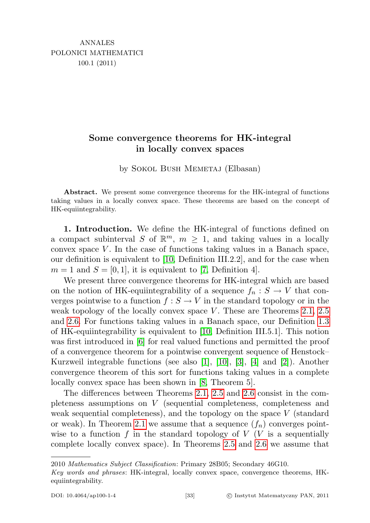## Some convergence theorems for HK-integral in locally convex spaces

by SOKOL BUSH MEMETAJ (Elbasan)

Abstract. We present some convergence theorems for the HK-integral of functions taking values in a locally convex space. These theorems are based on the concept of HK-equiintegrability.

1. Introduction. We define the HK-integral of functions defined on a compact subinterval S of  $\mathbb{R}^m$ ,  $m \geq 1$ , and taking values in a locally convex space  $V$ . In the case of functions taking values in a Banach space, our definition is equivalent to [\[10,](#page-10-0) Definition III.2.2], and for the case when  $m = 1$  and  $S = [0, 1]$ , it is equivalent to [\[7,](#page-9-0) Definition 4].

We present three convergence theorems for HK-integral which are based on the notion of HK-equiintegrability of a sequence  $f_n : S \to V$  that converges pointwise to a function  $f : S \to V$  in the standard topology or in the weak topology of the locally convex space V. These are Theorems  $2.1, 2.5$  $2.1, 2.5$ and [2.6.](#page-7-0) For functions taking values in a Banach space, our Definition [1.3](#page-2-0) of HK-equiintegrability is equivalent to [\[10,](#page-10-0) Definition III.5.1]. This notion was first introduced in [\[6\]](#page-9-1) for real valued functions and permitted the proof of a convergence theorem for a pointwise convergent sequence of Henstock– Kurzweil integrable functions (see also  $[1]$ ,  $[10]$ ,  $[3]$ ,  $[4]$  and  $[2]$ ). Another convergence theorem of this sort for functions taking values in a complete locally convex space has been shown in [\[8,](#page-10-1) Theorem 5].

The differences between Theorems [2.1,](#page-3-0) [2.5](#page-6-0) and [2.6](#page-7-0) consist in the completeness assumptions on V (sequential completeness, completeness and weak sequential completeness), and the topology on the space  $V$  (standard or weak). In Theorem [2.1](#page-3-0) we assume that a sequence  $(f_n)$  converges pointwise to a function f in the standard topology of  $V$  (V is a sequentially complete locally convex space). In Theorems [2.5](#page-6-0) and [2.6](#page-7-0) we assume that

<sup>2010</sup> Mathematics Subject Classification: Primary 28B05; Secondary 46G10.

Key words and phrases: HK-integral, locally convex space, convergence theorems, HKequiintegrability.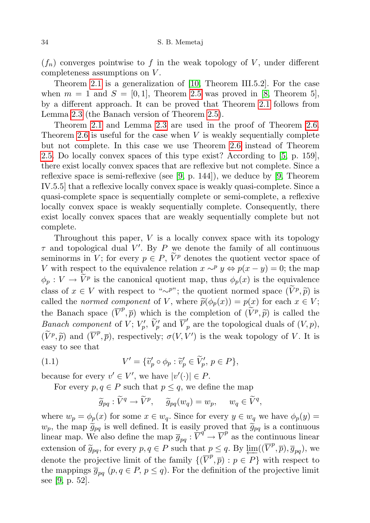$(f_n)$  converges pointwise to f in the weak topology of V, under different completeness assumptions on V .

Theorem [2.1](#page-3-0) is a generalization of [\[10,](#page-10-0) Theorem III.5.2]. For the case when  $m = 1$  and  $S = [0, 1]$ , Theorem [2.5](#page-6-0) was proved in [\[8,](#page-10-1) Theorem 5], by a different approach. It can be proved that Theorem [2.1](#page-3-0) follows from Lemma [2.3](#page-4-0) (the Banach version of Theorem [2.5\)](#page-6-0).

Theorem [2.1](#page-3-0) and Lemma [2.3](#page-4-0) are used in the proof of Theorem [2.6.](#page-7-0) Theorem [2.6](#page-7-0) is useful for the case when  $V$  is weakly sequentially complete but not complete. In this case we use Theorem [2.6](#page-7-0) instead of Theorem [2.5.](#page-6-0) Do locally convex spaces of this type exist? According to [\[5,](#page-9-6) p. 159], there exist locally convex spaces that are reflexive but not complete. Since a reflexive space is semi-reflexive (see [\[9,](#page-10-2) p. 144]), we deduce by [\[9,](#page-10-2) Theorem IV.5.5] that a reflexive locally convex space is weakly quasi-complete. Since a quasi-complete space is sequentially complete or semi-complete, a reflexive locally convex space is weakly sequentially complete. Consequently, there exist locally convex spaces that are weakly sequentially complete but not complete.

Throughout this paper,  $V$  is a locally convex space with its topology  $\tau$  and topological dual V'. By P we denote the family of all continuous seminorms in V; for every  $p \in P$ ,  $\widetilde{V}^p$  denotes the quotient vector space of V with respect to the equivalence relation  $x \sim^p y \Leftrightarrow p(x - y) = 0$ ; the map  $\phi_p: V \to V^p$  is the canonical quotient map, thus  $\phi_p(x)$  is the equivalence class of  $x \in V$  with respect to "∼<sup>p</sup>"; the quotient normed space  $(\tilde{V}^p, \tilde{p})$  is<br>called the *normed* comparent of V, where  $\tilde{p}(A(x)) = p(x)$  for each  $x \in V$ . called the normed component of V, where  $\tilde{p}(\phi_p(x)) = p(x)$  for each  $x \in V$ ; the Banach space  $(\overline{V}^p, \overline{p})$  which is the completion of  $(\widetilde{V}^p, \widetilde{p})$  is called the *Banach component* of  $V$ ;  $V'_p$ ,  $\widetilde{V}'_p$  and  $\overline{V}'_p$  are the topological duals of  $(V, p)$ ,  $(\widetilde{V}^p, \widetilde{p})$  and  $(\overline{V}^p, \overline{p})$ , respectively;  $\sigma(V, V')$  is the weak topology of V. It is easy to see that

(1.1) 
$$
V' = \{ \widetilde{v}'_p \circ \phi_p : \widetilde{v}'_p \in \widetilde{V}'_p, \ p \in P \},
$$

because for every  $v' \in V'$ , we have  $|v'(\cdot)| \in P$ .

For every  $p, q \in P$  such that  $p \leq q$ , we define the map

<span id="page-1-0"></span>
$$
\widetilde{g}_{pq}: \widetilde{V}^q \to \widetilde{V}^p, \quad \widetilde{g}_{pq}(w_q) = w_p, \quad w_q \in \widetilde{V}^q,
$$

where  $w_p = \phi_p(x)$  for some  $x \in w_q$ . Since for every  $y \in w_q$  we have  $\phi_p(y) =$  $w_p$ , the map  $\widetilde{g}_{pq}$  is well defined. It is easily proved that  $\widetilde{g}_{pq}$  is a continuous linear map. We also define the map  $\overline{g}_{pq}$ :  $\overline{V}^q \to \overline{V}^p$  as the continuous linear extension of  $\widetilde{g}_{pq}$ , for every  $p, q \in P$  such that  $p \leq q$ . By  $\varprojlim((\overline{V}^p, \overline{p}), \overline{g}_{pq})$ , we denote the projective limit of the family  $\{(\overline{V}^p, \overline{p}) : p \in P\}$  with respect to the mappings  $\overline{g}_{pq}$   $(p, q \in P, p \leq q)$ . For the definition of the projective limit see [\[9,](#page-10-2) p. 52].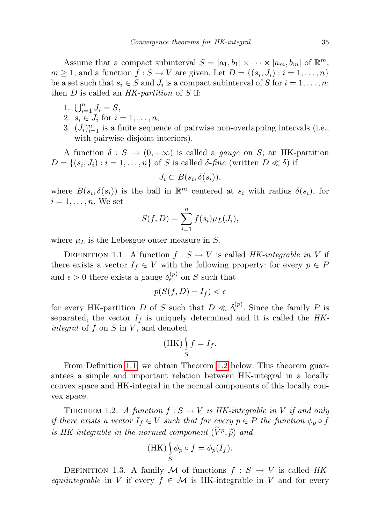Assume that a compact subinterval  $S = [a_1, b_1] \times \cdots \times [a_m, b_m]$  of  $\mathbb{R}^m$ ,  $m \geq 1$ , and a function  $f: S \to V$  are given. Let  $D = \{(s_i, J_i) : i = 1, \ldots, n\}$ be a set such that  $s_i \in S$  and  $J_i$  is a compact subinterval of S for  $i = 1, \ldots, n$ ; then  $D$  is called an  $HK$ -partition of  $S$  if:

- 1.  $\bigcup_{i=1}^{n} J_i = S,$
- 2.  $s_i \in J_i$  for  $i = 1, ..., n$ ,
- 3.  $(J_i)_{i=1}^n$  is a finite sequence of pairwise non-overlapping intervals (i.e., with pairwise disjoint interiors).

A function  $\delta : S \to (0, +\infty)$  is called a *gauge* on S; an HK-partition  $D = \{(s_i, J_i) : i = 1, \dots, n\}$  of S is called  $\delta$ -fine (written  $D \ll \delta$ ) if

$$
J_i \subset B(s_i, \delta(s_i)),
$$

where  $B(s_i, \delta(s_i))$  is the ball in  $\mathbb{R}^m$  centered at  $s_i$  with radius  $\delta(s_i)$ , for  $i = 1, \ldots, n$ . We set

$$
S(f, D) = \sum_{i=1}^{n} f(s_i) \mu_L(J_i),
$$

where  $\mu_L$  is the Lebesgue outer measure in S.

<span id="page-2-1"></span>DEFINITION 1.1. A function  $f : S \to V$  is called HK-integrable in V if there exists a vector  $I_f \in V$  with the following property: for every  $p \in P$ and  $\epsilon > 0$  there exists a gauge  $\delta_{\epsilon}^{(p)}$  on S such that

$$
p(S(f, D) - I_f) < \epsilon
$$

for every HK-partition D of S such that  $D \ll \delta_{\epsilon}^{(p)}$ . Since the family P is separated, the vector  $I_f$  is uniquely determined and it is called the  $HK$ integral of  $f$  on  $S$  in  $V$ , and denoted

$$
(\mathbf{HK}) \int_{S} f = I_f.
$$

From Definition [1.1,](#page-2-1) we obtain Theorem [1.2](#page-2-2) below. This theorem guarantees a simple and important relation between HK-integral in a locally convex space and HK-integral in the normal components of this locally convex space.

<span id="page-2-2"></span>THEOREM 1.2. A function  $f : S \to V$  is HK-integrable in V if and only if there exists a vector  $I_f \in V$  such that for every  $p \in P$  the function  $\phi_p \circ f$ is HK-integrable in the normed component  $(\tilde{V}^p, \tilde{p})$  and

$$
(\mathrm{HK}) \int\limits_{S} \phi_p \circ f = \phi_p(I_f).
$$

<span id="page-2-0"></span>DEFINITION 1.3. A family M of functions  $f : S \to V$  is called HKequiintegrable in V if every  $f \in \mathcal{M}$  is HK-integrable in V and for every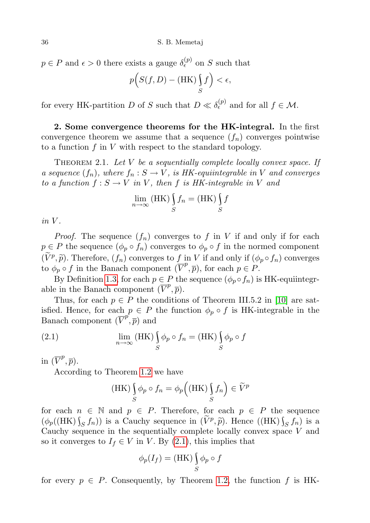$p \in P$  and  $\epsilon > 0$  there exists a gauge  $\delta_{\epsilon}^{(p)}$  on S such that

$$
p(S(f,D) - (HK)\int_{S} f \Big) < \epsilon,
$$

for every HK-partition D of S such that  $D \ll \delta_{\epsilon}^{(p)}$  and for all  $f \in \mathcal{M}$ .

2. Some convergence theorems for the HK-integral. In the first convergence theorem we assume that a sequence  $(f_n)$  converges pointwise to a function  $f$  in  $V$  with respect to the standard topology.

<span id="page-3-0"></span>THEOREM 2.1. Let  $V$  be a sequentially complete locally convex space. If a sequence  $(f_n)$ , where  $f_n : S \to V$ , is HK-equiintegrable in V and converges to a function  $f : S \to V$  in V, then f is HK-integrable in V and

$$
\lim_{n \to \infty} (\text{HK}) \int_{S} f_n = (\text{HK}) \int_{S} f
$$

 $in V$ .

*Proof.* The sequence  $(f_n)$  converges to f in V if and only if for each  $p \in P$  the sequence  $(\phi_p \circ f_n)$  converges to  $\phi_p \circ f$  in the normed component  $(\widetilde{V}^p, \widetilde{p})$ . Therefore,  $(f_n)$  converges to f in V if and only if  $(\phi_p \circ f_n)$  converges to  $\phi \circ f$  in the Banach component  $(\overline{V}^p, \overline{p})$  for each  $p \in P$ to  $\phi_p \circ f$  in the Banach component  $(\overline{V}^p, \overline{p})$ , for each  $p \in P$ .

By Definition [1.3,](#page-2-0) for each  $p \in P$  the sequence  $(\phi_p \circ f_n)$  is HK-equiintegrable in the Banach component  $(\overline{V}^p, \overline{p})$ .

Thus, for each  $p \in P$  the conditions of Theorem III.5.2 in [\[10\]](#page-10-0) are satisfied. Hence, for each  $p \in P$  the function  $\phi_p \circ f$  is HK-integrable in the Banach component  $(\overline{V}^{p}, \overline{p})$  and

(2.1) 
$$
\lim_{n \to \infty} (HK) \int_{S} \phi_p \circ f_n = (HK) \int_{S} \phi_p \circ f
$$

in  $(\overline{V}^p, \overline{p}).$ 

According to Theorem [1.2](#page-2-2) we have

<span id="page-3-1"></span>
$$
(\text{HK}) \int_{S} \phi_p \circ f_n = \phi_p \left( (\text{HK}) \int_{S} f_n \right) \in \widetilde{V}^p
$$

for each  $n \in \mathbb{N}$  and  $p \in P$ . Therefore, for each  $p \in P$  the sequence  $(\phi_p((HK)\int_S f_n))$  is a Cauchy sequence in  $(\tilde{V}^p, \tilde{p})$ . Hence  $((HK)\int_S f_n)$  is a Cauchy sequence in the sequentially complete locally convex space K and Cauchy sequence in the sequentially complete locally convex space V and so it converges to  $I_f \in V$  in V. By [\(2.1\)](#page-3-1), this implies that

$$
\phi_p(I_f) = (HK) \int_S \phi_p \circ f
$$

for every  $p \in P$ . Consequently, by Theorem [1.2,](#page-2-2) the function f is HK-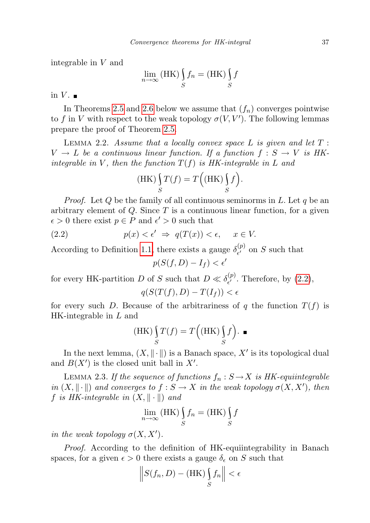integrable in V and

$$
\lim_{n \to \infty} (\textbf{HK}) \int_{S} f_n = (\textbf{HK}) \int_{S} f
$$

in  $V$ .

In Theorems [2.5](#page-6-0) and [2.6](#page-7-0) below we assume that  $(f_n)$  converges pointwise to f in V with respect to the weak topology  $\sigma(V, V')$ . The following lemmas prepare the proof of Theorem [2.5.](#page-6-0)

<span id="page-4-2"></span>LEMMA 2.2. Assume that a locally convex space  $L$  is given and let  $T$ :  $V \to L$  be a continuous linear function. If a function  $f : S \to V$  is HKintegrable in V, then the function  $T(f)$  is HK-integrable in L and

$$
(\text{HK}) \int_{S} T(f) = T((\text{HK}) \int_{S} f).
$$

*Proof.* Let  $Q$  be the family of all continuous seminorms in  $L$ . Let  $q$  be an arbitrary element of  $Q$ . Since  $T$  is a continuous linear function, for a given  $\epsilon > 0$  there exist  $p \in P$  and  $\epsilon' > 0$  such that

(2.2) 
$$
p(x) < \epsilon' \Rightarrow q(T(x)) < \epsilon, \quad x \in V.
$$

According to Definition [1.1,](#page-2-1) there exists a gauge  $\delta_{\epsilon'}^{(p)}$  $\zeta_{\epsilon'}^{(p)}$  on S such that

<span id="page-4-1"></span>
$$
p(S(f,D) - I_f) < \epsilon'
$$

for every HK-partition D of S such that  $D \ll \delta_{\epsilon'}^{(p)}$  $\zeta_{\epsilon'}^{(p)}$ . Therefore, by  $(2.2)$ ,

$$
q(S(T(f), D) - T(I_f)) < \epsilon
$$

for every such D. Because of the arbitrariness of q the function  $T(f)$  is HK-integrable in L and

$$
(\text{HK})\int_{S} T(f) = T((\text{HK})\int_{S} f).
$$

In the next lemma,  $(X, \|\cdot\|)$  is a Banach space,  $X'$  is its topological dual and  $B(X')$  is the closed unit ball in  $X'$ .

<span id="page-4-0"></span>LEMMA 2.3. If the sequence of functions  $f_n : S \to X$  is HK-equiintegrable in  $(X, \|\cdot\|)$  and converges to  $f : S \to X$  in the weak topology  $\sigma(X, X')$ , then f is HK-integrable in  $(X, \|\cdot\|)$  and

$$
\lim_{n \to \infty} (\textbf{HK}) \int_{S} f_n = (\textbf{HK}) \int_{S} f
$$

in the weak topology  $\sigma(X, X')$ .

Proof. According to the definition of HK-equiintegrability in Banach spaces, for a given  $\epsilon > 0$  there exists a gauge  $\delta_{\epsilon}$  on S such that

$$
\left\| S(f_n, D) - (\text{HK}) \int_S f_n \right\| < \epsilon
$$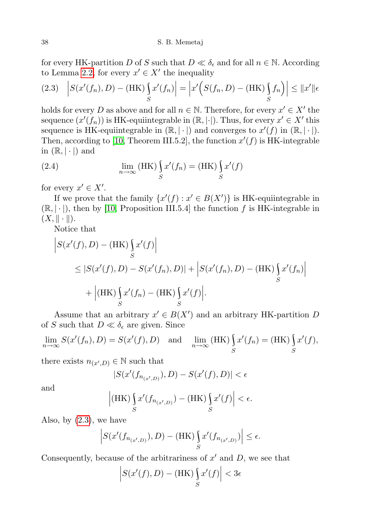for every HK-partition D of S such that  $D \ll \delta_{\epsilon}$  and for all  $n \in \mathbb{N}$ . According to Lemma [2.2,](#page-4-2) for every  $x' \in X'$  the inequality

<span id="page-5-0"></span>
$$
(2.3) \quad \left| S(x'(f_n), D) - (\text{HK}) \int_S x'(f_n) \right| = \left| x' \left( S(f_n, D) - (\text{HK}) \int_S f_n \right) \right| \leq \|x'\| \epsilon
$$

holds for every D as above and for all  $n \in \mathbb{N}$ . Therefore, for every  $x' \in X'$  the sequence  $(x'(f_n))$  is HK-equiintegrable in  $(\mathbb{R}, |\cdot|)$ . Thus, for every  $x' \in X'$  this sequence is HK-equiintegrable in  $(\mathbb{R}, |\cdot|)$  and converges to  $x'(f)$  in  $(\mathbb{R}, |\cdot|)$ . Then, according to [\[10,](#page-10-0) Theorem III.5.2], the function  $x'(f)$  is HK-integrable in  $(\mathbb{R}, |\cdot|)$  and

<span id="page-5-1"></span>(2.4) 
$$
\lim_{n \to \infty} (HK) \int_{S} x'(f_n) = (HK) \int_{S} x'(f)
$$

for every  $x' \in X'$ .

If we prove that the family  $\{x'(f) : x' \in B(X')\}$  is HK-equiintegrable in  $(\mathbb{R}, |\cdot|)$ , then by [\[10,](#page-10-0) Proposition III.5.4] the function f is HK-integrable in  $(X, \|\cdot\|).$ 

Notice that

$$
\begin{aligned} \Big| S(x'(f), D) - (\text{HK}) \Big|_{S} x'(f) \Big| \\ &\leq |S(x'(f), D) - S(x'(f_n), D)| + \Big| S(x'(f_n), D) - (\text{HK}) \Big|_{S} x'(f_n) \Big| \\ &+ \Big| (\text{HK}) \Big|_{S} x'(f_n) - (\text{HK}) \Big|_{S} x'(f) \Big| . \end{aligned}
$$

Assume that an arbitrary  $x' \in B(X')$  and an arbitrary HK-partition D of S such that  $D \ll \delta_{\epsilon}$  are given. Since

$$
\lim_{n \to \infty} S(x'(f_n), D) = S(x'(f), D) \text{ and } \lim_{n \to \infty} (HK) \int_S x'(f_n) = (HK) \int_S x'(f),
$$

there exists  $n_{(x',D)} \in \mathbb{N}$  such that

$$
|S(x'(f_{n_{(x',D)}}), D) - S(x'(f), D)| < \epsilon
$$

and

$$
\left| \left( \mathrm{HK}\right) \int_{S} x'(f_{n_{(x',D)}}) - \left( \mathrm{HK}\right) \int_{S} x'(f) \right| < \epsilon.
$$

Also, by  $(2.3)$ , we have

$$
\left| S(x'(f_{n_{(x',D)}}), D) - (\text{HK}) \int_{S} x'(f_{n_{(x',D)}}) \right| \le \epsilon.
$$

Consequently, because of the arbitrariness of  $x'$  and  $D$ , we see that

$$
\left| S(x'(f), D) - (\text{HK}) \int_{S} x'(f) \right| < 3\epsilon
$$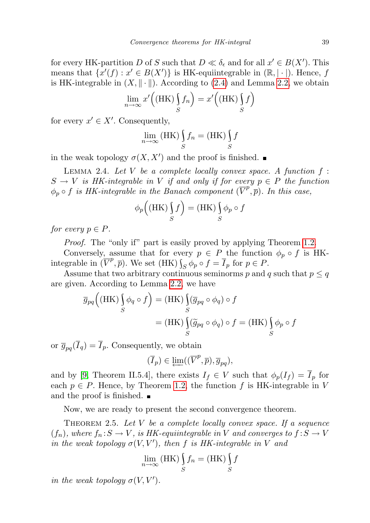for every HK-partition D of S such that  $D \ll \delta_{\epsilon}$  and for all  $x' \in B(X')$ . This means that  $\{x'(f) : x' \in B(X')\}$  is HK-equiintegrable in  $(\mathbb{R}, |\cdot|)$ . Hence, f is HK-integrable in  $(X, \|\cdot\|)$ . According to [\(2.4\)](#page-5-1) and Lemma [2.2,](#page-4-2) we obtain

$$
\lim_{n \to \infty} x'((HK)\int_S f_n) = x'((HK)\int_S f)
$$

for every  $x' \in X'$ . Consequently,

$$
\lim_{n \to \infty} (\text{HK}) \int_{S} f_n = (\text{HK}) \int_{S} f
$$

in the weak topology  $\sigma(X, X')$  and the proof is finished.

<span id="page-6-1"></span>LEMMA 2.4. Let V be a complete locally convex space. A function  $f$ :  $S \to V$  is HK-integrable in V if and only if for every  $p \in P$  the function  $\phi_p \circ f$  is HK-integrable in the Banach component  $(\overline{V}^p, \overline{p})$ . In this case,

$$
\phi_p((HK)\int_S f) = (HK)\int_S \phi_p \circ f
$$

for every  $p \in P$ .

Proof. The "only if" part is easily proved by applying Theorem [1.2.](#page-2-2)

Conversely, assume that for every  $p \in P$  the function  $\phi_p \circ f$  is HKintegrable in  $(\overline{V}^p, \overline{p})$ . We set (HK)  $\int_S \phi_p \circ f = \overline{I}_p$  for  $p \in P$ .

Assume that two arbitrary continuous seminorms p and q such that  $p \leq q$ are given. According to Lemma [2.2,](#page-4-2) we have

$$
\overline{g}_{pq}((HK) \int_{S} \phi_q \circ f) = (HK) \int_{S} (\overline{g}_{pq} \circ \phi_q) \circ f
$$

$$
= (HK) \int_{S} (\widetilde{g}_{pq} \circ \phi_q) \circ f = (HK) \int_{S} \phi_p \circ f
$$

or  $\overline{g}_{pq}(\overline{I}_q) = \overline{I}_p$ . Consequently, we obtain

$$
(\overline{I}_p) \in \varprojlim ((\overline{V}^p, \overline{p}), \overline{g}_{pq}),
$$

and by [\[9,](#page-10-2) Theorem II.5.4], there exists  $I_f \in V$  such that  $\phi_p(I_f) = \overline{I}_p$  for each  $p \in P$ . Hence, by Theorem [1.2,](#page-2-2) the function f is HK-integrable in V and the proof is finished.

Now, we are ready to present the second convergence theorem.

<span id="page-6-0"></span>THEOREM 2.5. Let  $V$  be a complete locally convex space. If a sequence  $(f_n)$ , where  $f_n : S \to V$ , is HK-equiintegrable in V and converges to  $f : S \to V$ in the weak topology  $\sigma(V, V')$ , then f is HK-integrable in V and

$$
\lim_{n \to \infty} (\text{HK}) \int_{S} f_n = (\text{HK}) \int_{S} f
$$

in the weak topology  $\sigma(V, V')$ .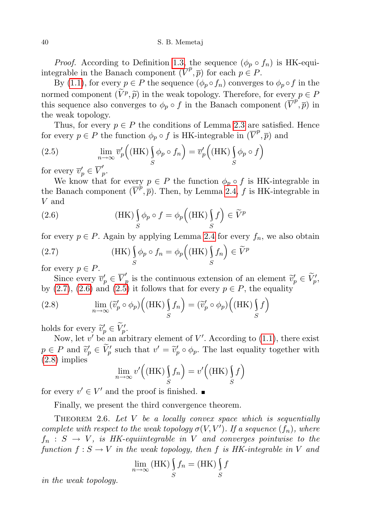40 S. B. Memetaj

*Proof.* According to Definition [1.3,](#page-2-0) the sequence  $(\phi_p \circ f_n)$  is HK-equiintegrable in the Banach component  $(\overline{V}^p, \overline{p})$  for each  $p \in P$ .

By [\(1.1\)](#page-1-0), for every  $p \in P$  the sequence  $(\phi_p \circ f_n)$  converges to  $\phi_p \circ f$  in the normed component  $(V^p, \tilde{p})$  in the weak topology. Therefore, for every  $p \in P$ <br>this sequence also converges to  $\phi$ , o f in the Banach component  $(\overline{V}^p, \overline{p})$  in this sequence also converges to  $\phi_p \circ f$  in the Banach component  $(\overline{\tilde{V}}^p, \overline{p})$  in the weak topology.

Thus, for every  $p \in P$  the conditions of Lemma [2.3](#page-4-0) are satisfied. Hence for every  $p \in P$  the function  $\phi_p \circ f$  is HK-integrable in  $(\overline{V}^p, \overline{p})$  and

<span id="page-7-3"></span>(2.5) 
$$
\lim_{n \to \infty} \overline{v}'_p \left( (\text{HK}) \int_S \phi_p \circ f_n \right) = \overline{v}'_p \left( (\text{HK}) \int_S \phi_p \circ f \right)
$$

for every  $\overline{v}'_p \in \overline{V}'_p$ ,<br>p•

We know that for every  $p \in P$  the function  $\phi_p \circ f$  is HK-integrable in the Banach component  $(\overline{V}^p, \overline{p})$ . Then, by Lemma [2.4,](#page-6-1) f is HK-integrable in V and

<span id="page-7-2"></span>(2.6) 
$$
(HK) \int_{S} \phi_p \circ f = \phi_p ((HK) \int_{S} f) \in \widetilde{V}^p
$$

for every  $p \in P$ . Again by applying Lemma [2.4](#page-6-1) for every  $f_n$ , we also obtain

<span id="page-7-1"></span>(2.7) 
$$
(HK) \int_{S} \phi_p \circ f_n = \phi_p ((HK) \int_{S} f_n) \in \widetilde{V}^p
$$
 for every  $n \in R$ 

for every  $p \in P$ .

Since every  $\overline{v}'_p \in \overline{V}'_p$ p is the continuous extension of an element  $\widetilde{v}'_p \in \widetilde{V}'_p$ ,<br>i) it follows that for every  $p \in P$  the couplity by [\(2.7\)](#page-7-1), [\(2.6\)](#page-7-2) and [\(2.5\)](#page-7-3) it follows that for every  $p \in P$ , the equality

<span id="page-7-4"></span>(2.8) 
$$
\lim_{n \to \infty} (\widetilde{v}_p' \circ \phi_p) \Big( (\mathbf{HK}) \int_S f_n \Big) = (\widetilde{v}_p' \circ \phi_p) \Big( (\mathbf{HK}) \int_S f \Big)
$$

holds for every  $\widetilde{v}'_p \in \widetilde{V}'_p$ .<br>Now let  $v'$  be an arl

Now, let  $v'$  be an arbitrary element of  $V'$ . According to [\(1.1\)](#page-1-0), there exist  $p \in P$  and  $\widetilde{v}'_p \in \widetilde{V}'_p$  such that  $v' = \widetilde{v}'_p \circ \phi_p$ . The last equality together with [\(2.8\)](#page-7-4) implies

$$
\lim_{n \to \infty} v' \Big( (\text{HK}) \int_S f_n \Big) = v' \Big( (\text{HK}) \int_S f \Big)
$$

for every  $v' \in V'$  and the proof is finished.

Finally, we present the third convergence theorem.

<span id="page-7-0"></span>THEOREM 2.6. Let  $V$  be a locally convex space which is sequentially complete with respect to the weak topology  $\sigma(V, V')$ . If a sequence  $(f_n)$ , where  $f_n : S \to V$ , is HK-equiintegrable in V and converges pointwise to the function  $f : S \to V$  in the weak topology, then f is HK-integrable in V and

$$
\lim_{n \to \infty} (\textbf{HK}) \int_{S} f_n = (\textbf{HK}) \int_{S} f
$$

in the weak topology.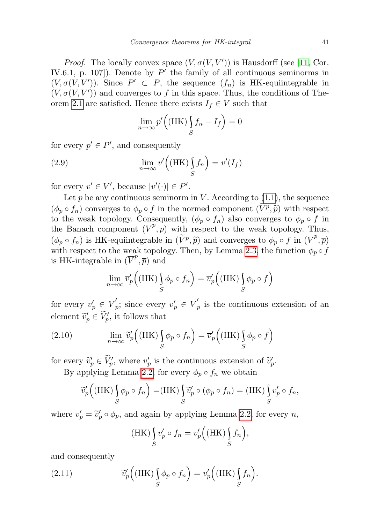*Proof.* The locally convex space  $(V, \sigma(V, V'))$  is Hausdorff (see [\[11,](#page-10-3) Cor. IV.6.1, p. 107). Denote by  $P'$  the family of all continuous seminorms in  $(V, \sigma(V, V'))$ . Since  $P' \subset P$ , the sequence  $(f_n)$  is HK-equiintegrable in  $(V, \sigma(V, V'))$  and converges to f in this space. Thus, the conditions of The-orem [2.1](#page-3-0) are satisfied. Hence there exists  $I_f \in V$  such that

<span id="page-8-2"></span>
$$
\lim_{n \to \infty} p' \Big( (\text{HK}) \int_S f_n - I_f \Big) = 0
$$

for every  $p' \in P'$ , and consequently

(2.9) 
$$
\lim_{n \to \infty} v' \left( (HK) \int_S f_n \right) = v'(I_f)
$$

for every  $v' \in V'$ , because  $|v'(\cdot)| \in P'$ .

Let p be any continuous seminorm in V. According to  $(1.1)$ , the sequence  $(\phi_p \circ f_n)$  converges to  $\phi_p \circ f$  in the normed component  $(\tilde{V}^p, \tilde{p})$  with respect<br>to the weak topology Consequently  $(\phi_p \circ f_p)$  also converges to  $\phi_p \circ f$  in to the weak topology. Consequently,  $(\phi_p \circ f_n)$  also converges to  $\phi_p \circ f$  in the Banach component  $(\overline{V}^p, \overline{p})$  with respect to the weak topology. Thus,  $(\phi_p \circ f_n)$  is HK-equiintegrable in  $(\widetilde{V}^p, \widetilde{p})$  and converges to  $\phi_p \circ f$  in  $(\overline{V}^p, \overline{p})$ <br>with respect to the weak topology. Then, by Lemma 2.3, the function  $\phi_p \circ f$ with respect to the weak topology. Then, by Lemma [2.3,](#page-4-0) the function  $\phi_p \circ f$ is HK-integrable in  $(\overline{V}^p, \overline{p})$  and

$$
\lim_{n \to \infty} \overline{v}'_p \left( (HK) \int_S \phi_p \circ f_n \right) = \overline{v}'_p \left( (HK) \int_S \phi_p \circ f \right)
$$

for every  $\overline{v}'_p \in \overline{V}'_p$  $v'_p$ ; since every  $\overline{v}'_p \in \overline{V}'_p$  $p'$  is the continuous extension of an element  $\tilde{v}'_p \in \tilde{V}'_p$ , it follows that

<span id="page-8-0"></span>(2.10) 
$$
\lim_{n \to \infty} \widetilde{v}'_p \left( (\text{HK}) \int_S \phi_p \circ f_n \right) = \overline{v}'_p \left( (\text{HK}) \int_S \phi_p \circ f \right)
$$

for every  $\widetilde{v}'_p \in \widetilde{V}'_p$ , where  $\overline{v}'_p$  is the continuous extension of  $\widetilde{v}'_p$ .<br>By employing Larges 2.2, for every  $\phi$ , of the obtain

By applying Lemma [2.2,](#page-4-2) for every  $\phi_p \circ f_n$  we obtain

$$
\widetilde{v}'_p((HK)\int_S \phi_p \circ f_n) = (HK)\int_S \widetilde{v}'_p \circ (\phi_p \circ f_n) = (HK)\int_S v'_p \circ f_n,
$$

where  $v'_p = \tilde{v}'_p \circ \phi_p$ , and again by applying Lemma [2.2,](#page-4-2) for every n,

<span id="page-8-1"></span>
$$
(\text{HK}) \int_{S} v'_p \circ f_n = v'_p \Big( (\text{HK}) \int_{S} f_n \Big),
$$

and consequently

(2.11) 
$$
\widetilde{v}_p'\Big((HK)\int_S \phi_p \circ f_n\Big) = v'_p\Big((HK)\int_S f_n\Big).
$$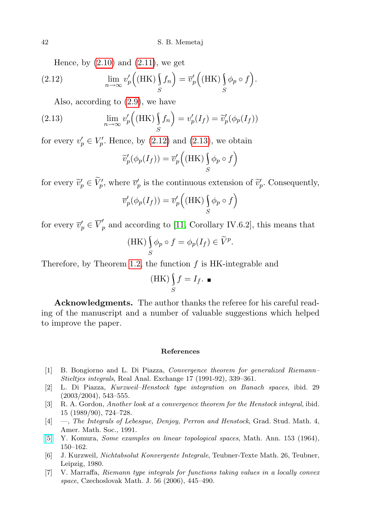<span id="page-9-7"></span>Hence, by  $(2.10)$  and  $(2.11)$ , we get

(2.12) 
$$
\lim_{n \to \infty} v'_p \left( (\text{HK}) \int_S f_n \right) = \overline{v}'_p \left( (\text{HK}) \int_S \phi_p \circ f \right).
$$

Also, according to [\(2.9\)](#page-8-2), we have

(2.13) 
$$
\lim_{n \to \infty} v'_p \left( (\text{HK}) \int_S f_n \right) = v'_p(I_f) = \widetilde{v}'_p(\phi_p(I_f))
$$

for every  $v'_p \in V'_p$ . Hence, by [\(2.12\)](#page-9-7) and [\(2.13\)](#page-9-8), we obtain

<span id="page-9-8"></span>
$$
\widetilde{v}'_p(\phi_p(I_f)) = \overline{v}'_p((HK) \underset{S}{\int} \phi_p \circ f)
$$

for every  $\widetilde{v}'_p \in \widetilde{V}'_p$ , where  $\overline{v}'_p$  is the continuous extension of  $\widetilde{v}'_p$ . Consequently,

$$
\overline{v}'_p(\phi_p(I_f)) = \overline{v}'_p((HK) \underset{S}{\int} \phi_p \circ f)
$$

for every  $\overline{v}'_p \in \overline{V}'_p$  and according to [\[11,](#page-10-3) Corollary IV.6.2], this means that

(HK) 
$$
\int_{S} \phi_p \circ f = \phi_p(I_f) \in \widetilde{V}^p.
$$

Therefore, by Theorem [1.2,](#page-2-2) the function  $f$  is HK-integrable and

$$
(\mathbf{HK}) \int_{S} f = I_f. \blacksquare
$$

Acknowledgments. The author thanks the referee for his careful reading of the manuscript and a number of valuable suggestions which helped to improve the paper.

## References

- <span id="page-9-2"></span>[1] B. Bongiorno and L. Di Piazza, Convergence theorem for generalized Riemann– Stieltjes integrals, Real Anal. Exchange 17 (1991-92), 339–361.
- <span id="page-9-5"></span>[2] L. Di Piazza, Kurzweil–Henstock type integration on Banach spaces, ibid. 29  $(2003/2004), 543-555.$
- <span id="page-9-3"></span>[3] R. A. Gordon, Another look at a convergence theorem for the Henstock integral, ibid. 15 (1989/90), 724–728.
- <span id="page-9-4"></span>[4] —, The Integrals of Lebesgue, Denjoy, Perron and Henstock, Grad. Stud. Math. 4, Amer. Math. Soc., 1991.
- <span id="page-9-6"></span>[\[5\]](http://dx.doi.org/10.1007/BF01361183) Y. Komura, Some examples on linear topological spaces, Math. Ann. 153 (1964), 150–162.
- <span id="page-9-1"></span>[6] J. Kurzweil, Nichtabsolut Konvergente Integrale, Teubner-Texte Math. 26, Teubner, Leipzig, 1980.
- <span id="page-9-0"></span>[7] V. Marraffa, Riemann type integrals for functions taking values in a locally convex space, Czechoslovak Math. J. 56 (2006), 445–490.